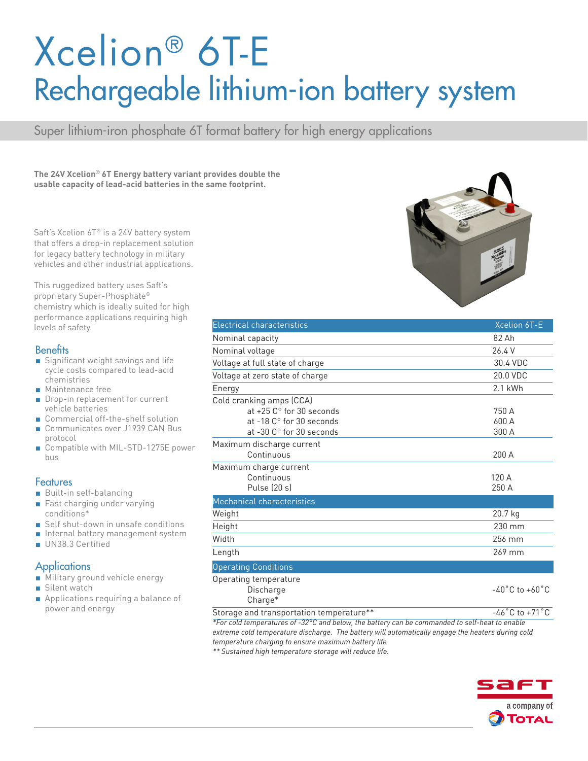# Xcelion® 6T-E Rechargeable lithium-ion battery system

Super lithium-iron phosphate 6T format battery for high energy applications

**The 24V Xcelion**® **6T Energy battery variant provides double the usable capacity of lead-acid batteries in the same footprint.**

Saft's Xcelion 6T® is a 24V battery system that offers a drop-in replacement solution for legacy battery technology in military vehicles and other industrial applications.

This ruggedized battery uses Saft's proprietary Super-Phosphate® chemistry which is ideally suited for high performance applications requiring high levels of safety.

#### **Benefits**

- Significant weight savings and life cycle costs compared to lead-acid chemistries
- Maintenance free
- Drop-in replacement for current vehicle batteries
- Commercial off-the-shelf solution
- Communicates over J1939 CAN Bus protocol
- Compatible with MIL-STD-1275E power bus

#### **Features**

- Built-in self-balancing
- Fast charging under varying conditions\*
- Self shut-down in unsafe conditions
- Internal battery management system
- UN38.3 Certified

#### **Applications**

- Military ground vehicle energy
- Silent watch
- Applications requiring a balance of power and energy

| <b>Electrical characteristics</b>    | Xcelion 6T-E                       |
|--------------------------------------|------------------------------------|
| Nominal capacity                     | 82 Ah                              |
| Nominal voltage                      | 26.4 V                             |
| Voltage at full state of charge      | 30.4 VDC                           |
| Voltage at zero state of charge      | 20.0 VDC                           |
| Energy                               | 2.1 kWh                            |
| Cold cranking amps (CCA)             |                                    |
| at $+25$ C $^{\circ}$ for 30 seconds | 750 A                              |
| at -18 C° for 30 seconds             | 600 A                              |
| at -30 C° for 30 seconds             | 300 A                              |
| Maximum discharge current            |                                    |
| Continuous                           | 200A                               |
| Maximum charge current               |                                    |
| Continuous                           | 120 A                              |
| Pulse (20 s)                         | 250 A                              |
| Mechanical characteristics           |                                    |
| Weight                               | 20.7 kg                            |
| Height                               | 230 mm                             |
| Width                                | 256 mm                             |
| Length                               | 269 mm                             |
| <b>Operating Conditions</b>          |                                    |
| Operating temperature                |                                    |
| Discharge                            | $-40^{\circ}$ C to $+60^{\circ}$ C |

Charge\*

Storage and transportation temperature\*\* The state of the 46°C to +71°C

*\*For cold temperatures of -32°C and below, the battery can be commanded to self-heat to enable extreme cold temperature discharge. The battery will automatically engage the heaters during cold temperature charging to ensure maximum battery life*

*\*\* Sustained high temperature storage will reduce life.*